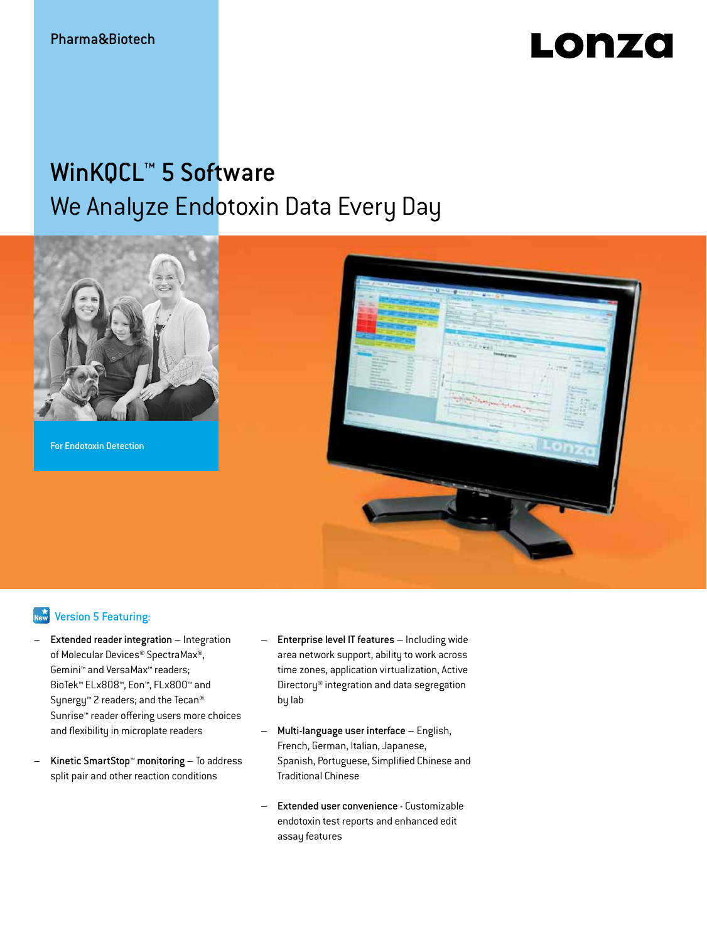# Lonza

## WinKQCL<sup>™</sup> 5 Software We Analyze Endotoxin Data Every Day



For Endotoxin Detection



#### **New** Version 5 Featuring:

- Extended reader integration Integration of Molecular Devices® SpectraMax®, Gemini™ and VersaMax™ readers; BioTek™ ELx808™, Eon™, FLx800™ and Synergy™ 2 readers; and the Tecan® Sunrise™ reader offering users more choices and flexibility in microplate readers
- Kinetic SmartStop™ monitoring To address split pair and other reaction conditions
- Enterprise level IT features Including wide area network support, ability to work across time zones, application virtualization, Active Directory® integration and data segregation by lab
- Multi-language user interface English, French, German, Italian, Japanese, Spanish, Portuguese, Simplified Chinese and Traditional Chinese
- Extended user convenience Customizable endotoxin test reports and enhanced edit assay features